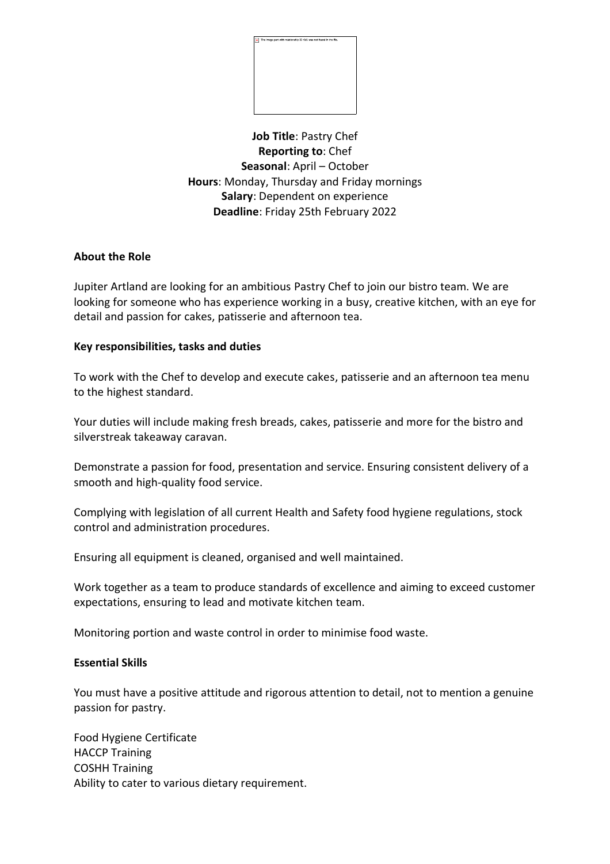

**Job Title**: Pastry Chef **Reporting to**: Chef **Seasonal**: April – October **Hours**: Monday, Thursday and Friday mornings **Salary**: Dependent on experience **Deadline**: Friday 25th February 2022

## **About the Role**

Jupiter Artland are looking for an ambitious Pastry Chef to join our bistro team. We are looking for someone who has experience working in a busy, creative kitchen, with an eye for detail and passion for cakes, patisserie and afternoon tea.

## **Key responsibilities, tasks and duties**

To work with the Chef to develop and execute cakes, patisserie and an afternoon tea menu to the highest standard.

Your duties will include making fresh breads, cakes, patisserie and more for the bistro and silverstreak takeaway caravan.

Demonstrate a passion for food, presentation and service. Ensuring consistent delivery of a smooth and high-quality food service.

Complying with legislation of all current Health and Safety food hygiene regulations, stock control and administration procedures.

Ensuring all equipment is cleaned, organised and well maintained.

Work together as a team to produce standards of excellence and aiming to exceed customer expectations, ensuring to lead and motivate kitchen team.

Monitoring portion and waste control in order to minimise food waste.

## **Essential Skills**

You must have a positive attitude and rigorous attention to detail, not to mention a genuine passion for pastry.

Food Hygiene Certificate HACCP Training COSHH Training Ability to cater to various dietary requirement.